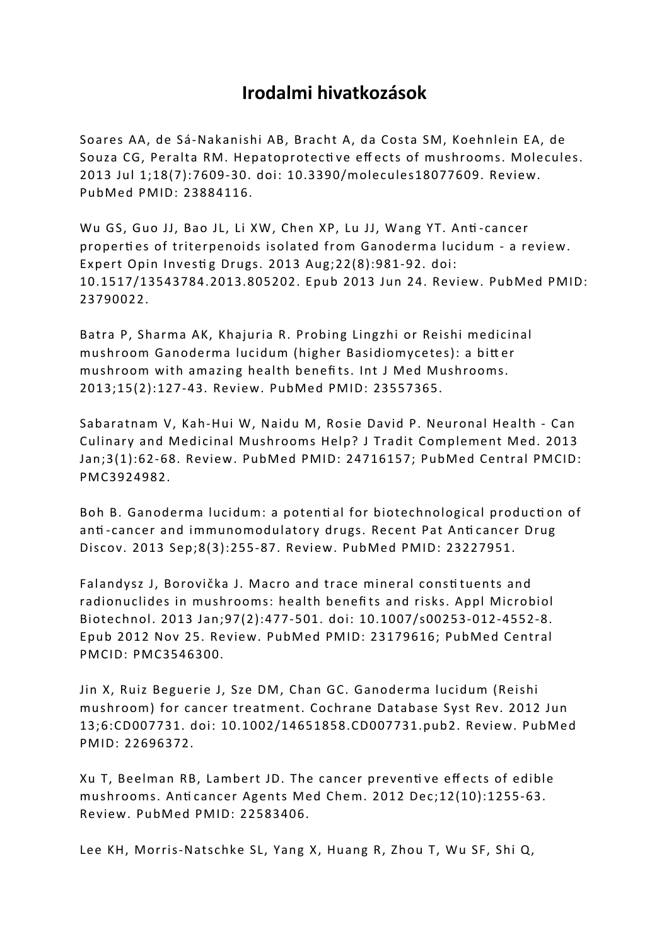## **Irodalmi hivatkozások**

Soares AA, de Sá-Nakanishi AB, Bracht A, da Costa SM, Koehnlein EA, de Souza CG, Peralta RM. Hepatoprotecti ve eff ects of mushrooms. Molecules. 2013 Jul 1;18(7):7609-30. doi: 10.3390/molecules18077609. Review. PubMed PMID: 23884116.

Wu GS, Guo JJ, Bao JL, Li XW, Chen XP, Lu JJ, Wang YT. Anti -cancer properti es of triterpenoids isolated from Ganoderma lucidum - a review. Expert Opin Investig Drugs. 2013 Aug; 22(8): 981-92. doi: 10.1517/13543784.2013.805202. Epub 2013 Jun 24. Review. PubMed PMID: 23790022.

Batra P, Sharma AK, Khajuria R. Probing Lingzhi or Reishi medicinal mushroom Ganoderma lucidum (higher Basidiomycetes): a bitt er mushroom with amazing health benefi ts. Int J Med Mushrooms. 2013;15(2):127-43. Review. PubMed PMID: 23557365.

Sabaratnam V, Kah-Hui W, Naidu M, Rosie David P. Neuronal Health - Can Culinary and Medicinal Mushrooms Help? J Tradit Complement Med. 2013 Jan;3(1):62-68. Review. PubMed PMID: 24716157; PubMed Central PMCID: PMC3924982.

Boh B. Ganoderma lucidum: a potenti al for biotechnological producti on of anti -cancer and immunomodulatory drugs. Recent Pat Anti cancer Drug Discov. 2013 Sep;8(3):255-87. Review. PubMed PMID: 23227951.

Falandysz J, Borovička J. Macro and trace mineral consti tuents and radionuclides in mushrooms: health benefits and risks. Appl Microbiol Biotechnol. 2013 Jan;97(2):477-501. doi: 10.1007/s00253-012-4552-8. Epub 2012 Nov 25. Review. PubMed PMID: 23179616; PubMed Central PMCID: PMC3546300.

Jin X, Ruiz Beguerie J, Sze DM, Chan GC. Ganoderma lucidum (Reishi mushroom) for cancer treatment. Cochrane Database Syst Rev. 2012 Jun 13;6:CD007731. doi: 10.1002/14651858.CD007731.pub2. Review. PubMed PMID: 22696372.

Xu T, Beelman RB, Lambert JD. The cancer preventi ve eff ects of edible mushrooms. Anticancer Agents Med Chem. 2012 Dec;12(10):1255-63. Review. PubMed PMID: 22583406.

Lee KH, Morris-Natschke SL, Yang X, Huang R, Zhou T, Wu SF, Shi Q,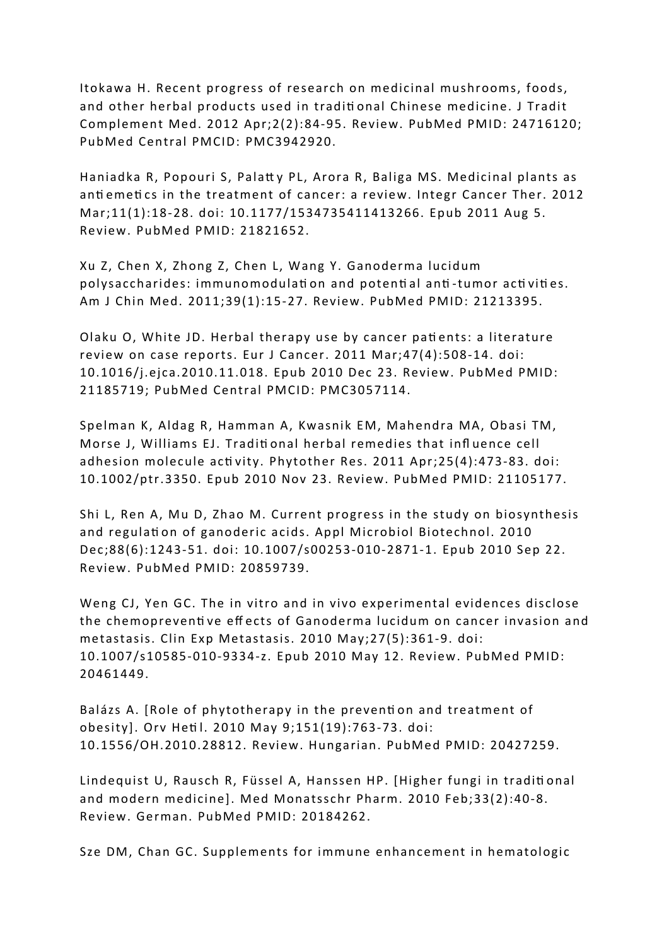Itokawa H. Recent progress of research on medicinal mushrooms, foods, and other herbal products used in traditi onal Chinese medicine. J Tradit Complement Med. 2012 Apr;2(2):84-95. Review. PubMed PMID: 24716120; PubMed Central PMCID: PMC3942920.

Haniadka R, Popouri S, Palatty PL, Arora R, Baliga MS. Medicinal plants as anti emeti cs in the treatment of cancer: a review. Integr Cancer Ther. 2012 Mar;11(1):18-28. doi: 10.1177/1534735411413266. Epub 2011 Aug 5. Review. PubMed PMID: 21821652.

Xu Z, Chen X, Zhong Z, Chen L, Wang Y. Ganoderma lucidum polysaccharides: immunomodulati on and potenti al anti -tumor acti viti es. Am J Chin Med. 2011;39(1):15-27. Review. PubMed PMID: 21213395.

Olaku O, White JD. Herbal therapy use by cancer patients: a literature review on case reports. Eur J Cancer. 2011 Mar;47(4):508-14. doi: 10.1016/j.ejca.2010.11.018. Epub 2010 Dec 23. Review. PubMed PMID: 21185719; PubMed Central PMCID: PMC3057114.

Spelman K, Aldag R, Hamman A, Kwasnik EM, Mahendra MA, Obasi TM, Morse J, Williams EJ. Traditi onal herbal remedies that infl uence cell adhesion molecule activity. Phytother Res. 2011 Apr; 25(4): 473-83. doi: 10.1002/ptr.3350. Epub 2010 Nov 23. Review. PubMed PMID: 21105177.

Shi L, Ren A, Mu D, Zhao M. Current progress in the study on biosynthesis and regulation of ganoderic acids. Appl Microbiol Biotechnol. 2010 Dec;88(6):1243-51. doi: 10.1007/s00253-010-2871-1. Epub 2010 Sep 22. Review. PubMed PMID: 20859739.

Weng CJ, Yen GC. The in vitro and in vivo experimental evidences disclose the chemopreventi ve eff ects of Ganoderma lucidum on cancer invasion and metastasis. Clin Exp Metastasis. 2010 May;27(5):361-9. doi: 10.1007/s10585-010-9334-z. Epub 2010 May 12. Review. PubMed PMID: 20461449.

Balázs A. [Role of phytotherapy in the prevention and treatment of obesity]. Orv Hetil. 2010 May 9;151(19):763-73. doi: 10.1556/OH.2010.28812. Review. Hungarian. PubMed PMID: 20427259.

Lindequist U, Rausch R, Füssel A, Hanssen HP. [Higher fungi in traditi onal and modern medicine]. Med Monatsschr Pharm. 2010 Feb;33(2):40-8. Review. German. PubMed PMID: 20184262.

Sze DM, Chan GC. Supplements for immune enhancement in hematologic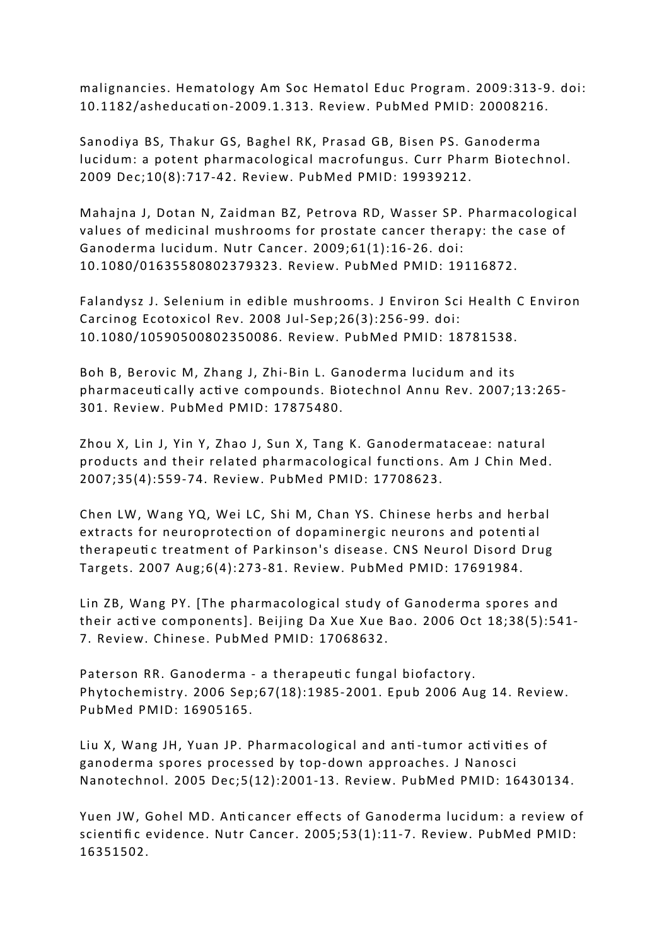malignancies. Hematology Am Soc Hematol Educ Program. 2009:313-9. doi: 10.1182/asheducati on-2009.1.313. Review. PubMed PMID: 20008216.

Sanodiya BS, Thakur GS, Baghel RK, Prasad GB, Bisen PS. Ganoderma lucidum: a potent pharmacological macrofungus. Curr Pharm Biotechnol. 2009 Dec;10(8):717-42. Review. PubMed PMID: 19939212.

Mahajna J, Dotan N, Zaidman BZ, Petrova RD, Wasser SP. Pharmacological values of medicinal mushrooms for prostate cancer therapy: the case of Ganoderma lucidum. Nutr Cancer. 2009;61(1):16-26. doi: 10.1080/01635580802379323. Review. PubMed PMID: 19116872.

Falandysz J. Selenium in edible mushrooms. J Environ Sci Health C Environ Carcinog Ecotoxicol Rev. 2008 Jul-Sep;26(3):256-99. doi: 10.1080/10590500802350086. Review. PubMed PMID: 18781538.

Boh B, Berovic M, Zhang J, Zhi-Bin L. Ganoderma lucidum and its pharmaceuti cally acti ve compounds. Biotechnol Annu Rev. 2007;13:265- 301. Review. PubMed PMID: 17875480.

Zhou X, Lin J, Yin Y, Zhao J, Sun X, Tang K. Ganodermataceae: natural products and their related pharmacological functions. Am J Chin Med. 2007;35(4):559-74. Review. PubMed PMID: 17708623.

Chen LW, Wang YQ, Wei LC, Shi M, Chan YS. Chinese herbs and herbal extracts for neuroprotecti on of dopaminergic neurons and potenti al therapeuti c treatment of Parkinson's disease. CNS Neurol Disord Drug Targets. 2007 Aug;6(4):273-81. Review. PubMed PMID: 17691984.

Lin ZB, Wang PY. [The pharmacological study of Ganoderma spores and their acti ve components]. Beijing Da Xue Xue Bao. 2006 Oct 18;38(5):541- 7. Review. Chinese. PubMed PMID: 17068632.

Paterson RR. Ganoderma - a therapeutic fungal biofactory. Phytochemistry. 2006 Sep;67(18):1985-2001. Epub 2006 Aug 14. Review. PubMed PMID: 16905165.

Liu X, Wang JH, Yuan JP. Pharmacological and anti -tumor acti viti es of ganoderma spores processed by top-down approaches. J Nanosci Nanotechnol. 2005 Dec;5(12):2001-13. Review. PubMed PMID: 16430134.

Yuen JW, Gohel MD. Anticancer effects of Ganoderma lucidum: a review of scientific evidence. Nutr Cancer. 2005;53(1):11-7. Review. PubMed PMID: 16351502.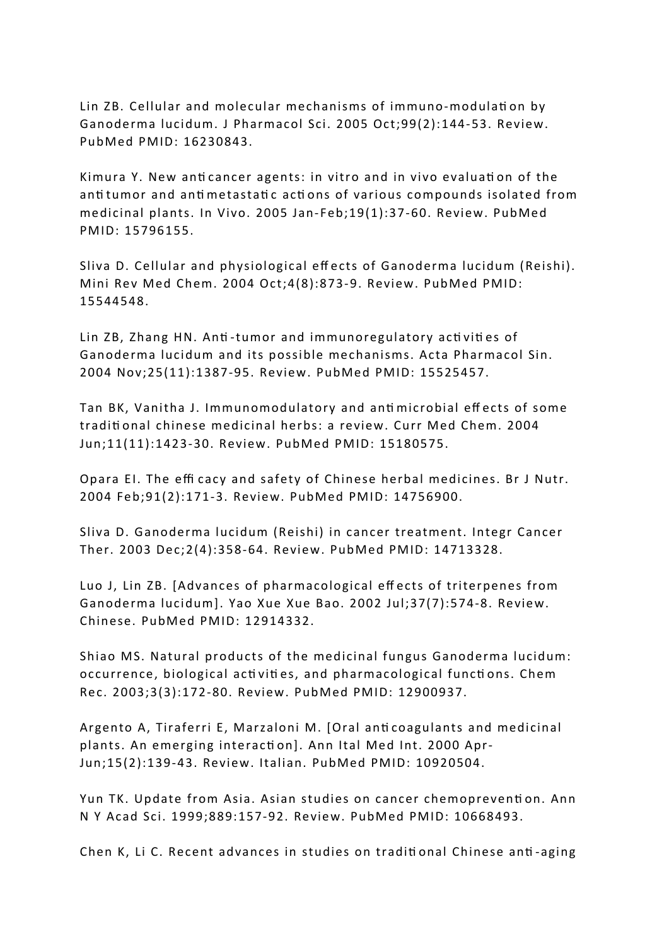Lin ZB. Cellular and molecular mechanisms of immuno-modulation by Ganoderma lucidum. J Pharmacol Sci. 2005 Oct;99(2):144-53. Review. PubMed PMID: 16230843.

Kimura Y. New anti cancer agents: in vitro and in vivo evaluati on of the anti tumor and anti metastati c acti ons of various compounds isolated from medicinal plants. In Vivo. 2005 Jan-Feb;19(1):37-60. Review. PubMed PMID: 15796155.

Sliva D. Cellular and physiological eff ects of Ganoderma lucidum (Reishi). Mini Rev Med Chem. 2004 Oct;4(8):873-9. Review. PubMed PMID: 15544548.

Lin ZB, Zhang HN. Anti -tumor and immunoregulatory acti viti es of Ganoderma lucidum and its possible mechanisms. Acta Pharmacol Sin. 2004 Nov;25(11):1387-95. Review. PubMed PMID: 15525457.

Tan BK, Vanitha J. Immunomodulatory and anti microbial eff ects of some traditi onal chinese medicinal herbs: a review. Curr Med Chem. 2004 Jun;11(11):1423-30. Review. PubMed PMID: 15180575.

Opara EI. The effi cacy and safety of Chinese herbal medicines. Br J Nutr. 2004 Feb;91(2):171-3. Review. PubMed PMID: 14756900.

Sliva D. Ganoderma lucidum (Reishi) in cancer treatment. Integr Cancer Ther. 2003 Dec;2(4):358-64. Review. PubMed PMID: 14713328.

Luo J, Lin ZB. [Advances of pharmacological eff ects of triterpenes from Ganoderma lucidum]. Yao Xue Xue Bao. 2002 Jul;37(7):574-8. Review. Chinese. PubMed PMID: 12914332.

Shiao MS. Natural products of the medicinal fungus Ganoderma lucidum: occurrence, biological acti viti es, and pharmacological functi ons. Chem Rec. 2003;3(3):172-80. Review. PubMed PMID: 12900937.

Argento A, Tiraferri E, Marzaloni M. [Oral anti coagulants and medicinal plants. An emerging interacti on]. Ann Ital Med Int. 2000 Apr-Jun;15(2):139-43. Review. Italian. PubMed PMID: 10920504.

Yun TK. Update from Asia. Asian studies on cancer chemopreventi on. Ann N Y Acad Sci. 1999;889:157-92. Review. PubMed PMID: 10668493.

Chen K, Li C. Recent advances in studies on traditi onal Chinese anti -aging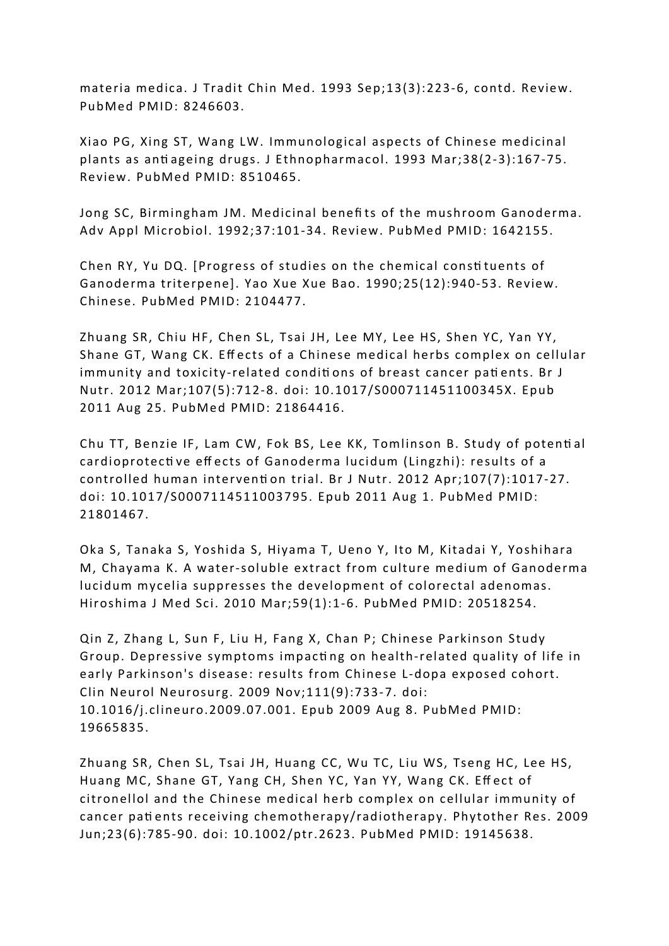materia medica. J Tradit Chin Med. 1993 Sep;13(3):223-6, contd. Review. PubMed PMID: 8246603.

Xiao PG, Xing ST, Wang LW. Immunological aspects of Chinese medicinal plants as anti ageing drugs. J Ethnopharmacol. 1993 Mar;38(2-3):167-75. Review. PubMed PMID: 8510465.

Jong SC, Birmingham JM. Medicinal benefi ts of the mushroom Ganoderma. Adv Appl Microbiol. 1992;37:101-34. Review. PubMed PMID: 1642155.

Chen RY, Yu DQ. [Progress of studies on the chemical consti tuents of Ganoderma triterpene]. Yao Xue Xue Bao. 1990;25(12):940-53. Review. Chinese. PubMed PMID: 2104477.

Zhuang SR, Chiu HF, Chen SL, Tsai JH, Lee MY, Lee HS, Shen YC, Yan YY, Shane GT, Wang CK. Effects of a Chinese medical herbs complex on cellular immunity and toxicity-related conditions of breast cancer patients. Br J Nutr. 2012 Mar;107(5):712-8. doi: 10.1017/S000711451100345X. Epub 2011 Aug 25. PubMed PMID: 21864416.

Chu TT, Benzie IF, Lam CW, Fok BS, Lee KK, Tomlinson B. Study of potenti al cardioprotecti ve eff ects of Ganoderma lucidum (Lingzhi): results of a controlled human interventi on trial. Br J Nutr. 2012 Apr;107(7):1017-27. doi: 10.1017/S0007114511003795. Epub 2011 Aug 1. PubMed PMID: 21801467.

Oka S, Tanaka S, Yoshida S, Hiyama T, Ueno Y, Ito M, Kitadai Y, Yoshihara M, Chayama K. A water-soluble extract from culture medium of Ganoderma lucidum mycelia suppresses the development of colorectal adenomas. Hiroshima J Med Sci. 2010 Mar;59(1):1-6. PubMed PMID: 20518254.

Qin Z, Zhang L, Sun F, Liu H, Fang X, Chan P; Chinese Parkinson Study Group. Depressive symptoms impacti ng on health-related quality of life in early Parkinson's disease: results from Chinese L-dopa exposed cohort. Clin Neurol Neurosurg. 2009 Nov;111(9):733-7. doi: 10.1016/j.clineuro.2009.07.001. Epub 2009 Aug 8. PubMed PMID: 19665835.

Zhuang SR, Chen SL, Tsai JH, Huang CC, Wu TC, Liu WS, Tseng HC, Lee HS, Huang MC, Shane GT, Yang CH, Shen YC, Yan YY, Wang CK. Effect of citronellol and the Chinese medical herb complex on cellular immunity of cancer patients receiving chemotherapy/radiotherapy. Phytother Res. 2009 Jun;23(6):785-90. doi: 10.1002/ptr.2623. PubMed PMID: 19145638.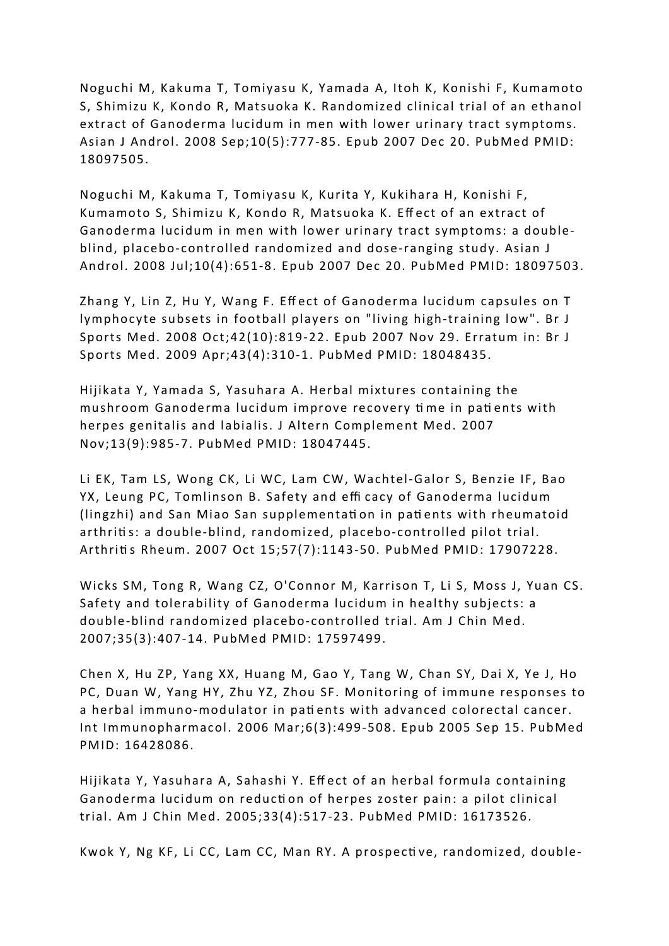Noguchi M, Kakuma T, Tomiyasu K, Yamada A, Itoh K, Konishi F, Kumamoto S, Shimizu K, Kondo R, Matsuoka K. Randomized clinical trial of an ethanol extract of Ganoderma lucidum in men with lower urinary tract symptoms. Asian J Androl. 2008 Sep;10(5):777-85. Epub 2007 Dec 20. PubMed PMID: 18097505.

Noguchi M, Kakuma T, Tomiyasu K, Kurita Y, Kukihara H, Konishi F, Kumamoto S, Shimizu K, Kondo R, Matsuoka K. Eff ect of an extract of Ganoderma lucidum in men with lower urinary tract symptoms: a doubleblind, placebo-controlled randomized and dose-ranging study. Asian J Androl. 2008 Jul;10(4):651-8. Epub 2007 Dec 20. PubMed PMID: 18097503.

Zhang Y, Lin Z, Hu Y, Wang F. Eff ect of Ganoderma lucidum capsules on T lymphocyte subsets in football players on "living high-training low". Br J Sports Med. 2008 Oct;42(10):819-22. Epub 2007 Nov 29. Erratum in: Br J Sports Med. 2009 Apr;43(4):310-1. PubMed PMID: 18048435.

Hijikata Y, Yamada S, Yasuhara A. Herbal mixtures containing the mushroom Ganoderma lucidum improve recovery ti me in pati ents with herpes genitalis and labialis. J Altern Complement Med. 2007 Nov;13(9):985-7. PubMed PMID: 18047445.

Li EK, Tam LS, Wong CK, Li WC, Lam CW, Wachtel-Galor S, Benzie IF, Bao YX, Leung PC, Tomlinson B. Safety and effi cacy of Ganoderma lucidum (lingzhi) and San Miao San supplementati on in pati ents with rheumatoid arthritis: a double-blind, randomized, placebo-controlled pilot trial. Arthriti s Rheum. 2007 Oct 15;57(7):1143-50. PubMed PMID: 17907228.

Wicks SM, Tong R, Wang CZ, O'Connor M, Karrison T, Li S, Moss J, Yuan CS. Safety and tolerability of Ganoderma lucidum in healthy subjects: a double-blind randomized placebo-controlled trial. Am J Chin Med. 2007;35(3):407-14. PubMed PMID: 17597499.

Chen X, Hu ZP, Yang XX, Huang M, Gao Y, Tang W, Chan SY, Dai X, Ye J, Ho PC, Duan W, Yang HY, Zhu YZ, Zhou SF. Monitoring of immune responses to a herbal immuno-modulator in pati ents with advanced colorectal cancer. Int Immunopharmacol. 2006 Mar;6(3):499-508. Epub 2005 Sep 15. PubMed PMID: 16428086.

Hijikata Y, Yasuhara A, Sahashi Y. Eff ect of an herbal formula containing Ganoderma lucidum on reducti on of herpes zoster pain: a pilot clinical trial. Am J Chin Med. 2005;33(4):517-23. PubMed PMID: 16173526.

Kwok Y, Ng KF, Li CC, Lam CC, Man RY. A prospecti ve, randomized, double-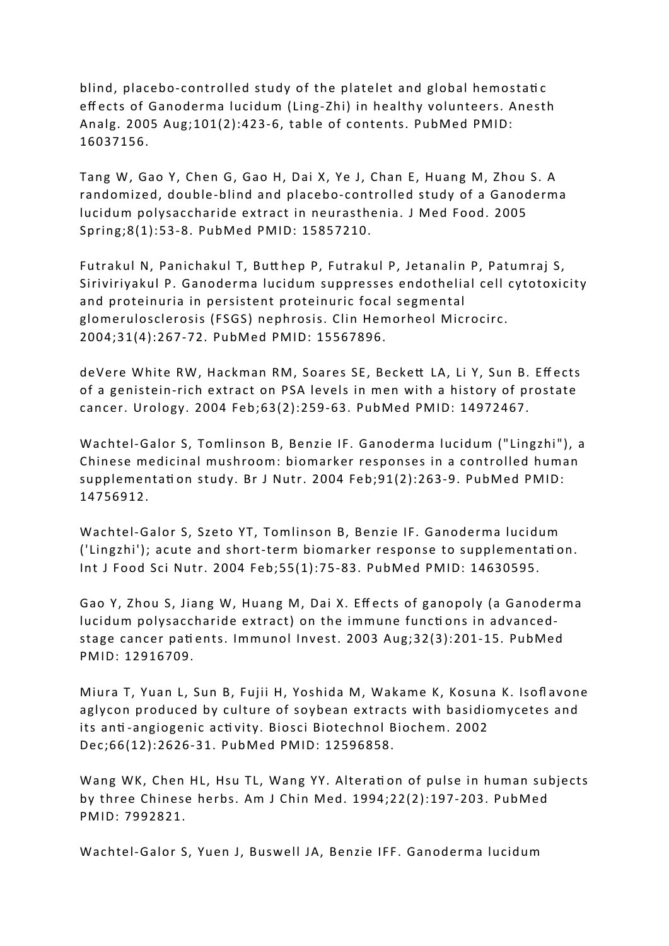blind, placebo-controlled study of the platelet and global hemostatic eff ects of Ganoderma lucidum (Ling-Zhi) in healthy volunteers. Anesth Analg. 2005 Aug;101(2):423-6, table of contents. PubMed PMID: 16037156.

Tang W, Gao Y, Chen G, Gao H, Dai X, Ye J, Chan E, Huang M, Zhou S. A randomized, double-blind and placebo-controlled study of a Ganoderma lucidum polysaccharide extract in neurasthenia. J Med Food. 2005 Spring;8(1):53-8. PubMed PMID: 15857210.

Futrakul N, Panichakul T, Butt hep P, Futrakul P, Jetanalin P, Patumraj S, Siriviriyakul P. Ganoderma lucidum suppresses endothelial cell cytotoxicity and proteinuria in persistent proteinuric focal segmental glomerulosclerosis (FSGS) nephrosis. Clin Hemorheol Microcirc. 2004;31(4):267-72. PubMed PMID: 15567896.

deVere White RW, Hackman RM, Soares SE, Beckett LA, Li Y, Sun B. Effects of a genistein-rich extract on PSA levels in men with a history of prostate cancer. Urology. 2004 Feb;63(2):259-63. PubMed PMID: 14972467.

Wachtel-Galor S, Tomlinson B, Benzie IF. Ganoderma lucidum ("Lingzhi"), a Chinese medicinal mushroom: biomarker responses in a controlled human supplementation study. Br J Nutr. 2004 Feb; 91(2): 263-9. PubMed PMID: 14756912.

Wachtel-Galor S, Szeto YT, Tomlinson B, Benzie IF. Ganoderma lucidum ('Lingzhi'); acute and short-term biomarker response to supplementati on. Int J Food Sci Nutr. 2004 Feb;55(1):75-83. PubMed PMID: 14630595.

Gao Y, Zhou S, Jiang W, Huang M, Dai X. Effects of ganopoly (a Ganoderma lucidum polysaccharide extract) on the immune functi ons in advancedstage cancer pati ents. Immunol Invest. 2003 Aug;32(3):201-15. PubMed PMID: 12916709.

Miura T, Yuan L, Sun B, Fujii H, Yoshida M, Wakame K, Kosuna K. Isofl avone aglycon produced by culture of soybean extracts with basidiomycetes and its anti -angiogenic acti vity. Biosci Biotechnol Biochem. 2002 Dec;66(12):2626-31. PubMed PMID: 12596858.

Wang WK, Chen HL, Hsu TL, Wang YY. Alteration of pulse in human subjects by three Chinese herbs. Am J Chin Med. 1994;22(2):197-203. PubMed PMID: 7992821.

Wachtel-Galor S, Yuen J, Buswell JA, Benzie IFF. Ganoderma lucidum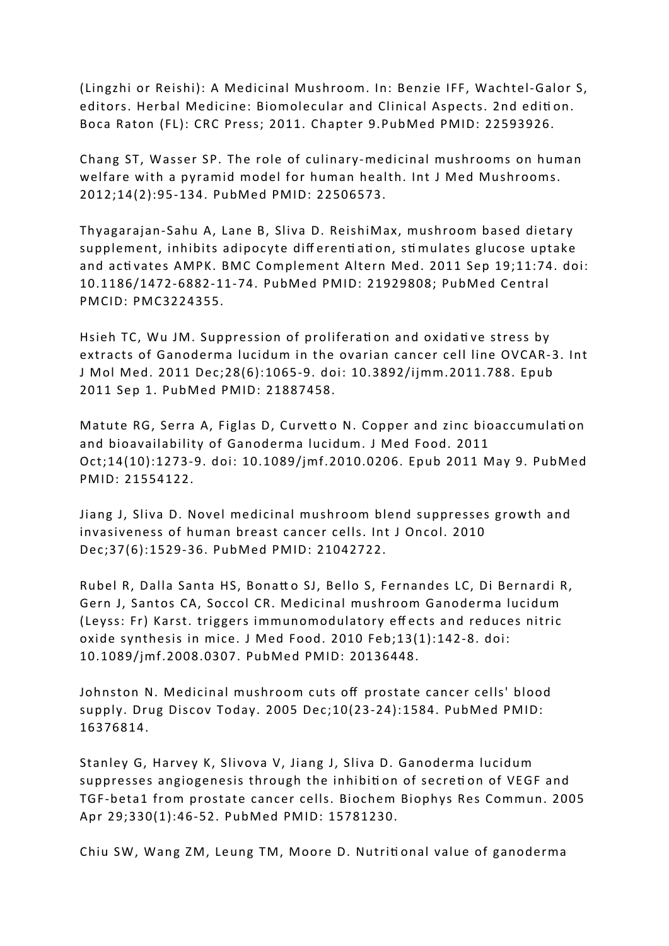(Lingzhi or Reishi): A Medicinal Mushroom. In: Benzie IFF, Wachtel-Galor S, editors. Herbal Medicine: Biomolecular and Clinical Aspects. 2nd edition. Boca Raton (FL): CRC Press; 2011. Chapter 9.PubMed PMID: 22593926.

Chang ST, Wasser SP. The role of culinary-medicinal mushrooms on human welfare with a pyramid model for human health. Int J Med Mushrooms. 2012;14(2):95-134. PubMed PMID: 22506573.

Thyagarajan-Sahu A, Lane B, Sliva D. ReishiMax, mushroom based dietary supplement, inhibits adipocyte diff erenti ati on, sti mulates glucose uptake and acti vates AMPK. BMC Complement Altern Med. 2011 Sep 19;11:74. doi: 10.1186/1472-6882-11-74. PubMed PMID: 21929808; PubMed Central PMCID: PMC3224355.

Hsieh TC, Wu JM. Suppression of proliferation and oxidative stress by extracts of Ganoderma lucidum in the ovarian cancer cell line OVCAR-3. Int J Mol Med. 2011 Dec;28(6):1065-9. doi: 10.3892/ijmm.2011.788. Epub 2011 Sep 1. PubMed PMID: 21887458.

Matute RG, Serra A, Figlas D, Curvetto N. Copper and zinc bioaccumulation and bioavailability of Ganoderma lucidum. J Med Food. 2011 Oct;14(10):1273-9. doi: 10.1089/jmf.2010.0206. Epub 2011 May 9. PubMed PMID: 21554122.

Jiang J, Sliva D. Novel medicinal mushroom blend suppresses growth and invasiveness of human breast cancer cells. Int J Oncol. 2010 Dec;37(6):1529-36. PubMed PMID: 21042722.

Rubel R, Dalla Santa HS, Bonatt o SJ, Bello S, Fernandes LC, Di Bernardi R, Gern J, Santos CA, Soccol CR. Medicinal mushroom Ganoderma lucidum (Leyss: Fr) Karst. triggers immunomodulatory eff ects and reduces nitric oxide synthesis in mice. J Med Food. 2010 Feb;13(1):142-8. doi: 10.1089/jmf.2008.0307. PubMed PMID: 20136448.

Johnston N. Medicinal mushroom cuts off prostate cancer cells' blood supply. Drug Discov Today. 2005 Dec;10(23-24):1584. PubMed PMID: 16376814.

Stanley G, Harvey K, Slivova V, Jiang J, Sliva D. Ganoderma lucidum suppresses angiogenesis through the inhibition of secretion of VEGF and TGF-beta1 from prostate cancer cells. Biochem Biophys Res Commun. 2005 Apr 29;330(1):46-52. PubMed PMID: 15781230.

Chiu SW, Wang ZM, Leung TM, Moore D. Nutriti onal value of ganoderma